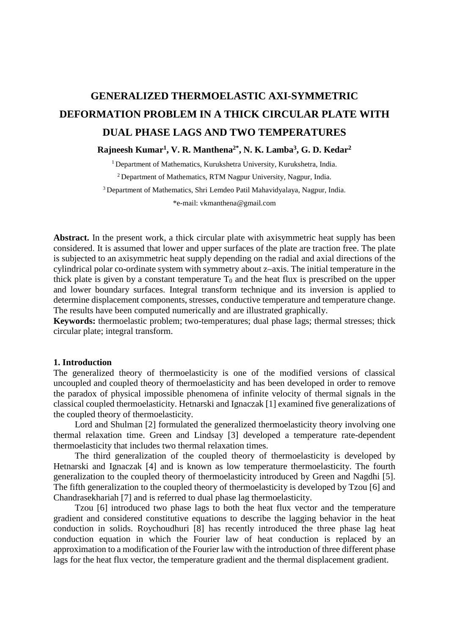# **GENERALIZED THERMOELASTIC AXI-SYMMETRIC DEFORMATION PROBLEM IN A THICK CIRCULAR PLATE WITH DUAL PHASE LAGS AND TWO TEMPERATURES**

**Rajneesh Kumar1, V. R. Manthena2\*, N. K. Lamba3, G. D. Kedar2** 

<sup>1</sup> Department of Mathematics, Kurukshetra University, Kurukshetra, India. 2 Department of Mathematics, RTM Nagpur University, Nagpur, India. 3 Department of Mathematics, Shri Lemdeo Patil Mahavidyalaya, Nagpur, India.

\*e-mail: [vkmanthena@gmail.com](mailto:vkmanthena@gmail.com) 

Abstract. In the present work, a thick circular plate with axisymmetric heat supply has been considered. It is assumed that lower and upper surfaces of the plate are traction free. The plate is subjected to an axisymmetric heat supply depending on the radial and axial directions of the cylindrical polar co-ordinate system with symmetry about z–axis. The initial temperature in the thick plate is given by a constant temperature  $T_0$  and the heat flux is prescribed on the upper and lower boundary surfaces. Integral transform technique and its inversion is applied to determine displacement components, stresses, conductive temperature and temperature change. The results have been computed numerically and are illustrated graphically.

**Keywords:** thermoelastic problem; two-temperatures; dual phase lags; thermal stresses; thick circular plate; integral transform.

# **1. Introduction**

The generalized theory of thermoelasticity is one of the modified versions of classical uncoupled and coupled theory of thermoelasticity and has been developed in order to remove the paradox of physical impossible phenomena of infinite velocity of thermal signals in the classical coupled thermoelasticity. Hetnarski and Ignaczak [1] examined five generalizations of the coupled theory of thermoelasticity.

Lord and Shulman [2] formulated the generalized thermoelasticity theory involving one thermal relaxation time. Green and Lindsay [3] developed a temperature rate-dependent thermoelasticity that includes two thermal relaxation times.

The third generalization of the coupled theory of thermoelasticity is developed by Hetnarski and Ignaczak [4] and is known as low temperature thermoelasticity. The fourth generalization to the coupled theory of thermoelasticity introduced by Green and Nagdhi [5]. The fifth generalization to the coupled theory of thermoelasticity is developed by Tzou [6] and Chandrasekhariah [7] and is referred to dual phase lag thermoelasticity.

Tzou [6] introduced two phase lags to both the heat flux vector and the temperature gradient and considered constitutive equations to describe the lagging behavior in the heat conduction in solids. Roychoudhuri [8] has recently introduced the three phase lag heat conduction equation in which the Fourier law of heat conduction is replaced by an approximation to a modification of the Fourier law with the introduction of three different phase lags for the heat flux vector, the temperature gradient and the thermal displacement gradient.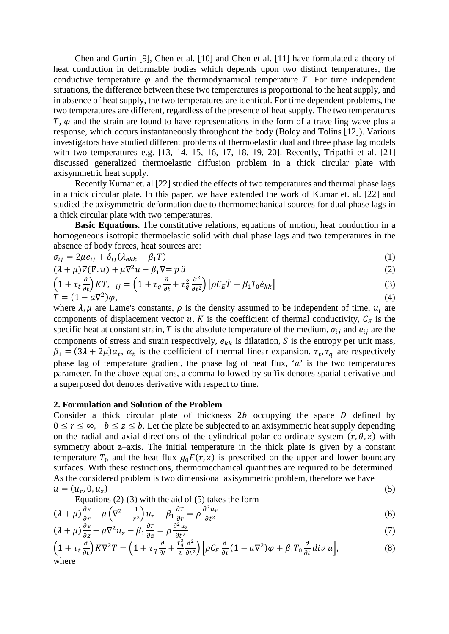Chen and Gurtin [9], Chen et al. [10] and Chen et al. [11] have formulated a theory of heat conduction in deformable bodies which depends upon two distinct temperatures, the conductive temperature  $\varphi$  and the thermodynamical temperature T. For time independent situations, the difference between these two temperatures is proportional to the heat supply, and in absence of heat supply, the two temperatures are identical. For time dependent problems, the two temperatures are different, regardless of the presence of heat supply. The two temperatures *,*  $\varphi$  *and the strain are found to have representations in the form of a travelling wave plus a* response, which occurs instantaneously throughout the body (Boley and Tolins [12]). Various investigators have studied different problems of thermoelastic dual and three phase lag models with two temperatures e.g. [13, 14, 15, 16, 17, 18, 19, 20]. Recently, Tripathi et al. [21] discussed generalized thermoelastic diffusion problem in a thick circular plate with axisymmetric heat supply.

Recently Kumar et. al [22] studied the effects of two temperatures and thermal phase lags in a thick circular plate. In this paper, we have extended the work of Kumar et. al. [22] and studied the axisymmetric deformation due to thermomechanical sources for dual phase lags in a thick circular plate with two temperatures.

**Basic Equations.** The constitutive relations, equations of motion, heat conduction in a homogeneous isotropic thermoelastic solid with dual phase lags and two temperatures in the absence of body forces, heat sources are:

$$
\sigma_{ij} = 2\mu e_{ij} + \delta_{ij}(\lambda_{ekk} - \beta_1 T) \tag{1}
$$

$$
(\lambda + \mu)\nabla(\nabla \cdot \mathbf{u}) + \mu \nabla^2 \mathbf{u} - \beta_1 \nabla = p \ddot{u}
$$
 (2)

$$
\left(1 + \tau_t \frac{\partial}{\partial t}\right) KT, \quad ij = \left(1 + \tau_q \frac{\partial}{\partial t} + \tau_q^2 \frac{\partial^2}{\partial t^2}\right) \left[\rho C_E \dot{T} + \beta_1 T_0 \dot{e}_{kk}\right]
$$
\n(3)

$$
T = (1 - a\nabla^2)\varphi,\tag{4}
$$

where  $\lambda$ ,  $\mu$  are Lame's constants,  $\rho$  is the density assumed to be independent of time,  $u_i$  are components of displacement vector u, K is the coefficient of thermal conductivity,  $C_E$  is the specific heat at constant strain, T is the absolute temperature of the medium,  $\sigma_{ij}$  and  $e_{ij}$  are the components of stress and strain respectively,  $e_{kk}$  is dilatation, S is the entropy per unit mass,  $\beta_1 = (3\lambda + 2\mu)\alpha_t$ ,  $\alpha_t$  is the coefficient of thermal linear expansion.  $\tau_t$ ,  $\tau_q$  are respectively phase lag of temperature gradient, the phase lag of heat flux, ' $a$ ' is the two temperatures parameter. In the above equations, a comma followed by suffix denotes spatial derivative and a superposed dot denotes derivative with respect to time.

#### **2. Formulation and Solution of the Problem**

Consider a thick circular plate of thickness  $2b$  occupying the space  $D$  defined by  $0 \le r \le \infty, -b \le z \le b$ . Let the plate be subjected to an axisymmetric heat supply depending on the radial and axial directions of the cylindrical polar co-ordinate system  $(r, \theta, z)$  with symmetry about z–axis. The initial temperature in the thick plate is given by a constant temperature  $T_0$  and the heat flux  $g_0F(r, z)$  is prescribed on the upper and lower boundary surfaces. With these restrictions, thermomechanical quantities are required to be determined. As the considered problem is two dimensional axisymmetric problem, therefore we have  $u = (u_r, 0, u_z)$  (5)

Equations 
$$
(2)-(3)
$$
 with the aid of  $(5)$  takes the form

$$
(\lambda + \mu) \frac{\partial e}{\partial r} + \mu \left( \nabla^2 - \frac{1}{r^2} \right) u_r - \beta_1 \frac{\partial T}{\partial r} = \rho \frac{\partial^2 u_r}{\partial t^2}
$$
 (6)

$$
(\lambda + \mu) \frac{\partial e}{\partial z} + \mu \nabla^2 u_z - \beta_1 \frac{\partial T}{\partial z} = \rho \frac{\partial^2 u_z}{\partial t^2}
$$
\n<sup>(7)</sup>

$$
\left(1 + \tau_t \frac{\partial}{\partial t}\right) K \nabla^2 T = \left(1 + \tau_q \frac{\partial}{\partial t} + \frac{\tau_q^2}{2} \frac{\partial^2}{\partial t^2}\right) \left[\rho C_E \frac{\partial}{\partial t} (1 - a \nabla^2) \varphi + \beta_1 T_0 \frac{\partial}{\partial t} \operatorname{div} u\right],\tag{8}
$$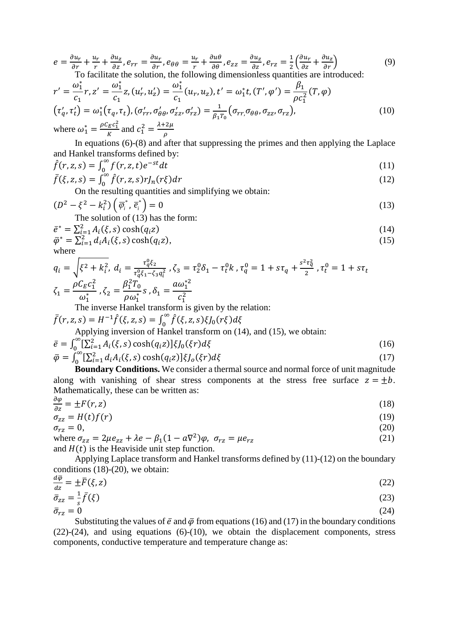$$
e = \frac{\partial u_r}{\partial r} + \frac{u_r}{r} + \frac{\partial u_z}{\partial z}, e_{rr} = \frac{\partial u_r}{\partial r}, e_{\theta\theta} = \frac{u_r}{r} + \frac{\partial u_\theta}{\partial \theta}, e_{zz} = \frac{\partial u_z}{\partial z}, e_{rz} = \frac{1}{2} \left( \frac{\partial u_r}{\partial z} + \frac{\partial u_z}{\partial r} \right)
$$
(9)  
To facilitate the solution, the following dimensionless quantities are introduced:

$$
r' = \frac{\omega_1^*}{c_1} r, z' = \frac{\omega_1^*}{c_1} z, (u'_r, u'_z) = \frac{\omega_1^*}{c_1} (u_r, u_z), t' = \omega_1^* t, (T', \varphi') = \frac{\beta_1}{\rho c_1^2} (T, \varphi)
$$
  
\n
$$
(\tau'_q, \tau'_t) = \omega_1^* (\tau_q, \tau_t), (\sigma'_{rr}, \sigma'_{\theta\theta}, \sigma'_{zz}, \sigma'_{rz}) = \frac{1}{\beta_1 \tau_0} (\sigma_{rr, \sigma_{\theta\theta}, \sigma_{zz}, \sigma_{rz})},
$$
  
\nwhere  $\omega_1^* = \frac{\rho c_E c_1^2}{K}$  and  $c_1^2 = \frac{\lambda + 2\mu}{\rho}$  (10)

In equations (6)-(8) and after that suppressing the primes and then applying the Laplace and Hankel transforms defined by:

$$
\hat{f}(r, z, s) = \int_0^\infty f(r, z, t) e^{-st} dt
$$
\n(11)

$$
\bar{f}(\xi, z, s) = \int_0^\infty \hat{f}(r, z, s) r J_n(r\xi) dr
$$
\n(12)

On the resulting quantities and simplifying we obtain:

$$
(D2 - \xi2 - ki2) \left( \overline{\varphi}_i^*, \overline{e}_i^* \right) = 0
$$
 (13)

The solution of (13) has the form:  $\nabla^2$  *A (C)* angle  $\theta$ 

$$
\bar{e}^* = \sum_{i=1}^2 A_i(\xi, s) \cosh(q_i z)
$$
\n
$$
\bar{\varphi}^* = \sum_{i=1}^2 d_i A_i(\xi, s) \cosh(q_i z),
$$
\n(14)\n(15)

where

$$
q_i = \sqrt{\xi^2 + k_i^2}, \ d_i = \frac{\tau_q^0 \xi_2}{\tau_q^0 \xi_1 - \xi_3 q_i^2}, \ \zeta_3 = \tau_2^0 \delta_1 - \tau_t^0 k, \ \tau_q^0 = 1 + s\tau_q + \frac{s^2 \tau_q^2}{2}, \ \tau_t^0 = 1 + s\tau_t
$$

$$
\zeta_1 = \frac{\rho C_E c_1^2}{\omega_1^*}, \ \zeta_2 = \frac{\beta_1^2 T_0}{\rho \omega_1^*} s, \ \delta_1 = \frac{a \omega_1^{*2}}{c_1^2}
$$

The inverse Hankel transform is given by the relation:

$$
\bar{f}(r, z, s) = H^{-1}\hat{f}(\xi, z, s) = \int_0^\infty \hat{f}(\xi, z, s)\xi J_0(r\xi)d\xi
$$
  
Applying inversion of Hankel transform on (14), and (15), we obtain:

$$
\bar{e} = \int_0^\infty \left[ \sum_{i=1}^2 A_i(\xi, s) \cosh(q_i z) \right] \xi J_0(\xi r) d\xi
$$
\n
$$
\bar{\varphi} = \int_0^\infty \left[ \sum_{i=1}^2 d_i A_i(\xi, s) \cosh(q_i z) \right] \xi J_0(\xi r) d\xi
$$
\n(17)

**Boundary Conditions.** We consider a thermal source and normal force of unit magnitude along with vanishing of shear stress components at the stress free surface  $z = \pm b$ . Mathematically, these can be written as:

$$
\frac{\partial \varphi}{\partial z} = \pm F(r, z) \tag{18}
$$

$$
\sigma_{zz} = H(t)f(r) \tag{19}
$$

$$
\sigma_{rz} = 0,\tag{20}
$$

where  $\sigma_{zz} = 2\mu e_{zz} + \lambda e - \beta_1 (1 - a\nabla^2)\varphi$ ,  $\sigma_{rz} = \mu e_{rz}$  (21) and  $H(t)$  is the Heaviside unit step function.

Applying Laplace transform and Hankel transforms defined by (11)-(12) on the boundary conditions (18)-(20), we obtain:

$$
\frac{d\overline{\varphi}}{dz} = \pm \overline{F}(\xi, z)
$$
(22)  

$$
\overline{\sigma}_{zz} = \frac{1}{s} \overline{f}(\xi)
$$
(23)  

$$
\overline{\sigma}_{rz} = 0
$$
(24)

Substituting the values of  $\bar{e}$  and  $\bar{\varphi}$  from equations (16) and (17) in the boundary conditions (22)-(24), and using equations (6)-(10), we obtain the displacement components, stress components, conductive temperature and temperature change as: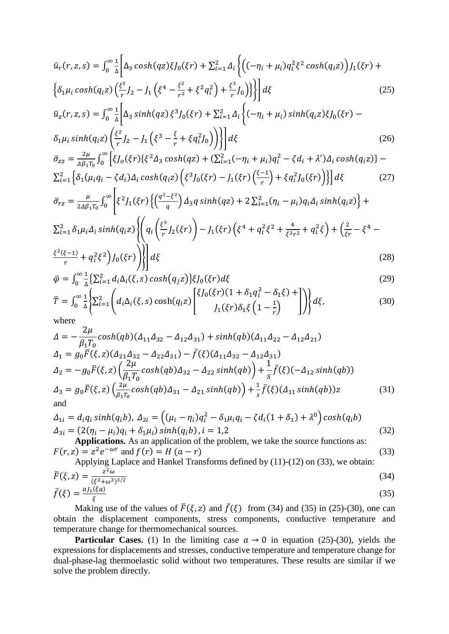$$
\bar{u}_r(r, z, s) = \int_0^\infty \frac{1}{\Delta} \left[ \Delta_3 \cosh(qz) \xi J_0(\xi r) + \sum_{i=1}^2 \Delta_i \left\{ \left( (-\eta_i + \mu_i) q_i^2 \xi^2 \cosh(q_i z) \right) J_1(\xi r) + \left\{ \delta_1 \mu_i \cosh(q_i z) \left( \frac{\xi^3}{r} J_2 - J_1 \left( \xi^4 - \frac{\xi^2}{r^2} + \xi^2 q_i^2 \right) + \frac{\xi^3}{r} J_0 \right) \right\} \right] d\xi
$$
\n(25)

$$
\bar{u}_z(r, z, s) = \int_0^\infty \frac{1}{\Delta} \left[ \Delta_3 \sinh(qz) \, \xi^3 f_0(\xi r) + \sum_{i=1}^2 \Delta_i \left\{ (-\eta_i + \mu_i) \sinh(q_i z) \xi f_0(\xi r) - \delta_1 \mu_i \sinh(q_i z) \left( \frac{\xi^2}{r} f_2 - f_1 \left( \xi^3 - \frac{\xi}{r} + \xi q_i^2 f_0 \right) \right) \right\} \right] d\xi \tag{26}
$$

$$
\bar{\sigma}_{zz} = \frac{2\mu}{\Delta\beta_1 r_0} \int_0^\infty \left[ \xi J_0(\xi r) \{ \xi^2 \Delta_3 \cosh(qz) + (\sum_{i=1}^2 (-\eta_i + \mu_i) q_i^2 - \zeta d_i + \lambda') \Delta_i \cosh(q_i z) \} - \right. \\
\left. \sum_{i=1}^2 \left\{ \delta_1 (\mu_i q_i - \zeta d_i) \Delta_i \cosh(q_i z) \left( \xi^3 J_0(\xi r) - J_1(\xi r) \left( \frac{\xi - 1}{r} \right) + \xi q_i^2 J_0(\xi r) \right) \right\} \right] d\xi \tag{27}
$$

$$
\bar{\sigma}_{rz} = \frac{\mu}{2\Delta\beta_1 T_0} \int_0^\infty \left[ \xi^2 J_1(\xi r) \left\{ \left( \frac{q^2 - \xi^2}{q} \right) \Delta_3 q \sinh(qz) + 2 \sum_{i=1}^2 (\eta_i - \mu_i) q_i \Delta_i \sinh(q_i z) \right\} + \sum_{i=1}^2 \delta_1 \mu_i \Delta_i \sinh(q_i z) \left\{ \left( q_i \left( \frac{\xi^3}{r} J_2(\xi r) \right) - J_1(\xi r) \left( \xi^4 + q_i^2 \xi^2 + \frac{4}{\xi^2 r^2} + q_i^2 \xi \right) + \left( \frac{2}{\xi r} - \xi^4 - \frac{4}{\xi^2 r^2} \right) \right\} \right]
$$

$$
\frac{\xi^2(\xi-1)}{r} + q_i^2 \xi^2 \left( \int_0^{\xi} f(x) \right) \left\{ d\xi \right\} \tag{28}
$$

$$
\bar{\varphi} = \int_0^\infty \frac{1}{\Delta} \{ \sum_{i=1}^2 d_i \Delta_i(\xi, s) \cosh(q_j z) \} \xi J_0(\xi r) d\xi
$$
\n(29)

$$
\overline{T} = \int_0^\infty \frac{1}{\Delta} \left\{ \sum_{i=1}^2 \left( d_i \Delta_i(\xi, s) \cosh(q_i z) \begin{bmatrix} \xi J_0(\xi r) (1 + \delta_1 q_i^2 - \delta_1 \xi) + \\ J_1(\xi r) \delta_1 \xi \left( 1 - \frac{1}{r} \right) \end{bmatrix} \right) d\xi,
$$
\nwhere\n
$$
\tag{30}
$$

where

$$
\Delta = -\frac{2\mu}{\beta_1 T_0} \cosh(qb) (\Delta_{11}\Delta_{32} - \Delta_{12}\Delta_{31}) + \sinh(qb) (\Delta_{11}\Delta_{22} - \Delta_{12}\Delta_{21})
$$
  
\n
$$
\Delta_1 = g_0 \bar{F}(\xi, z) (\Delta_{21}\Delta_{32} - \Delta_{22}\Delta_{31}) - \bar{f}(\xi) (\Delta_{11}\Delta_{32} - \Delta_{12}\Delta_{31})
$$
  
\n
$$
\Delta_2 = -g_0 \bar{F}(\xi, z) (\frac{2\mu}{\beta_1 T_0} \cosh(qb) \Delta_{32} - \Delta_{22} \sinh(qb)) + \frac{1}{s} \bar{f}(\xi) (-\Delta_{12} \sinh(qb))
$$
  
\n
$$
\Delta_3 = g_0 \bar{F}(\xi, z) (\frac{2\mu}{\beta_1 T_0} \cosh(qb) \Delta_{31} - \Delta_{21} \sinh(qb)) + \frac{1}{s} \bar{f}(\xi) (\Delta_{11} \sinh(qb)) z
$$
(31)  
\nand

$$
\Delta_{1i} = d_i q_i \sinh(q_i b), \ \Delta_{2i} = \left( (\mu_i - \eta_i) q_i^2 - \delta_1 \mu_i q_i - \zeta d_i (1 + \delta_1) + \lambda^0 \right) \cosh(q_i b)
$$
\n
$$
\Delta_{3i} = (2(\eta_i - \mu_i) q_i + \delta_1 \mu_i) \sinh(q_i b), \ i = 1,2 \tag{32}
$$

**Applications.** As an application of the problem, we take the source functions as:  

$$
F(r, z) = z^2 e^{-\omega r} \text{ and } f(r) = H (a - r)
$$
(33)

Applying Laplace and Hankel Transforms defined by (11)-(12) on (33), we obtain:  
\n
$$
\bar{F}(\xi, z) = \frac{z^2 \omega}{(\xi^2 + \omega^2)^{3/2}}
$$
\n(34)  
\n
$$
\bar{f}(\xi) = \frac{a J_1(\xi a)}{\xi}
$$
\n(35)

Making use of the values of  $\bar{F}(\xi, z)$  and  $f(\xi)$  from (34) and (35) in (25)-(30), one can obtain the displacement components, stress components, conductive temperature and temperature change for thermomechanical sources.

**Particular Cases.** (1) In the limiting case  $a \rightarrow 0$  in equation (25)-(30), yields the expressions for displacements and stresses, conductive temperature and temperature change for dual-phase-lag thermoelastic solid without two temperatures. These results are similar if we solve the problem directly.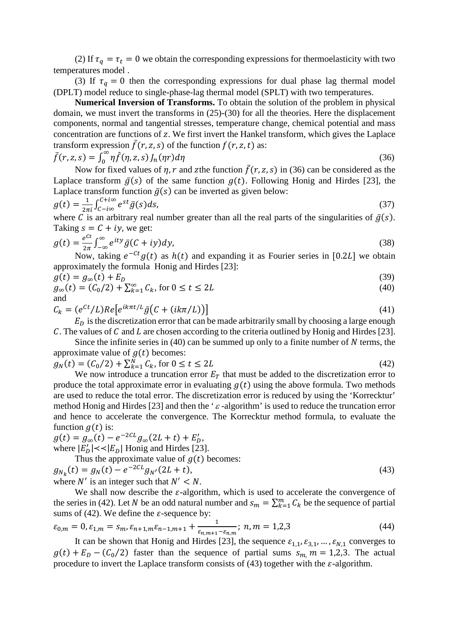(2) If  $\tau_q = \tau_t = 0$  we obtain the corresponding expressions for thermoelasticity with two temperatures model .

(3) If  $\tau_a = 0$  then the corresponding expressions for dual phase lag thermal model (DPLT) model reduce to single-phase-lag thermal model (SPLT) with two temperatures.

**Numerical Inversion of Transforms.** To obtain the solution of the problem in physical domain, we must invert the transforms in (25)-(30) for all the theories. Here the displacement components, normal and tangential stresses, temperature change, chemical potential and mass concentration are functions of z. We first invert the Hankel transform, which gives the Laplace transform expression  $f(r, z, s)$  of the function  $f(r, z, t)$  as:

$$
\bar{f}(r, z, s) = \int_0^\infty \eta \hat{f}(\eta, z, s) J_n(\eta r) d\eta
$$
\n(36)

Now for fixed values of  $\eta$ ,  $r$  and zthe function  $f(r, z, s)$  in (36) can be considered as the Laplace transform  $\bar{g}(s)$  of the same function  $g(t)$ . Following Honig and Hirdes [23], the Laplace transform function  $\bar{g}(s)$  can be inverted as given below:

$$
g(t) = \frac{1}{2\pi i} \int_{C-i\infty}^{C+i\infty} e^{st} \bar{g}(s) ds,
$$
\n(37)

where C is an arbitrary real number greater than all the real parts of the singularities of  $\bar{g}(s)$ . Taking  $s = C + iy$ , we get:

$$
g(t) = \frac{e^{ct}}{2\pi} \int_{-\infty}^{\infty} e^{ity} \bar{g}(C+iy) dy,
$$
\n(38)

Now, taking  $e^{-ct}g(t)$  as  $h(t)$  and expanding it as Fourier series in [0.2L] we obtain approximately the formula Honig and Hirdes [23]:

$$
g(t) = g_{\infty}(t) + E_D \tag{39}
$$
\n
$$
g(t) = (C/2) + \nabla^{\infty} \quad C \quad \text{for } 0 \le t \le 3I \tag{40}
$$

$$
g_{\infty}(t) = (C_0/2) + \sum_{k=1}^{\infty} C_k
$$
, for  $0 \le t \le 2L$  (40)  
and

$$
C_k = (e^{Ct}/L)Re[e^{ik\pi t/L}\bar{g}(C + (ik\pi/L))]
$$
\n(41)

 $E<sub>D</sub>$  is the discretization error that can be made arbitrarily small by choosing a large enough C. The values of C and L are chosen according to the criteria outlined by Honig and Hirdes [23].

Since the infinite series in  $(40)$  can be summed up only to a finite number of N terms, the approximate value of  $g(t)$  becomes:

$$
g_N(t) = (C_0/2) + \sum_{k=1}^{N} C_k, \text{ for } 0 \le t \le 2L
$$
 (42)

We now introduce a truncation error  $E_T$  that must be added to the discretization error to produce the total approximate error in evaluating  $g(t)$  using the above formula. Two methods are used to reduce the total error. The discretization error is reduced by using the 'Korrecktur' method Honig and Hirdes [23] and then the ' $\varepsilon$ -algorithm' is used to reduce the truncation error and hence to accelerate the convergence. The Korrecktur method formula, to evaluate the function  $g(t)$  is:

 $g(t) = g_{\infty}(t) - e^{-2CL} g_{\infty}(2L + t) + E'_D,$ where  $|E_D'| \ll |E_D|$  Honig and Hirdes [23].

Thus the approximate value of  $g(t)$  becomes:

$$
g_{N_k}(t) = g_N(t) - e^{-2CL} g_{N'}(2L + t),
$$
  
where *N'* is an integer such that *N'* < *N*. (43)

We shall now describe the  $\varepsilon$ -algorithm, which is used to accelerate the convergence of the series in (42). Let N be an odd natural number and  $s_m = \sum_{k=1}^m C_k$  be the sequence of partial sums of (42). We define the  $\varepsilon$ -sequence by:

$$
\varepsilon_{0,m} = 0, \varepsilon_{1,m} = s_m, \varepsilon_{n+1,m}\varepsilon_{n-1,m+1} + \frac{1}{\varepsilon_{n,m+1} - \varepsilon_{n,m}}; n, m = 1,2,3
$$
\n(44)

It can be shown that Honig and Hirdes [23], the sequence  $\varepsilon_{1,1}, \varepsilon_{3,1}, \ldots, \varepsilon_{N,1}$  converges to  $g(t) + E_D - (C_0/2)$  faster than the sequence of partial sums  $s_{m}$ ,  $m = 1,2,3$ . The actual procedure to invert the Laplace transform consists of (43) together with the  $\varepsilon$ -algorithm.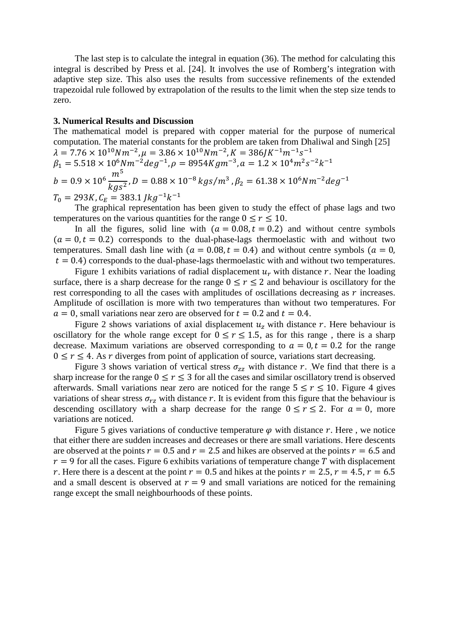The last step is to calculate the integral in equation (36). The method for calculating this integral is described by Press et al. [24]. It involves the use of Romberg's integration with adaptive step size. This also uses the results from successive refinements of the extended trapezoidal rule followed by extrapolation of the results to the limit when the step size tends to zero.

# **3. Numerical Results and Discussion**

The mathematical model is prepared with copper material for the purpose of numerical computation. The material constants for the problem are taken from Dhaliwal and Singh [25]  $\lambda = 7.76 \times 10^{10} N m^{-2}, \mu = 3.86 \times 10^{10} N m^{-2}, K = 386 J K^{-1} m^{-1} s^{-1}$  $\beta_1 = 5.518 \times 10^6 N m^{-2} deg^{-1}, \rho = 8954 K g m^{-3}, \alpha = 1.2 \times 10^4 m^2 s^{-2} k^{-1}$  $b = 0.9 \times 10^6 \frac{m^5}{k a s}$  $\frac{1}{2\,g s^2}$ , D = 0.88 × 10<sup>-8</sup>  $kgs/m^3$  ,  $\beta_2 = 61.38 \times 10^6 N m^{-2} deg^{-1}$  $T_0 = 293K$ ,  $C_F = 383.1$   $\frac{1}{kg^{-1}k^{-1}}$ 

The graphical representation has been given to study the effect of phase lags and two temperatures on the various quantities for the range  $0 \le r \le 10$ .

In all the figures, solid line with  $(a = 0.08, t = 0.2)$  and without centre symbols  $(a = 0, t = 0.2)$  corresponds to the dual-phase-lags thermoelastic with and without two temperatures. Small dash line with  $(a = 0.08, t = 0.4)$  and without centre symbols  $(a = 0,$  $t = 0.4$ ) corresponds to the dual-phase-lags thermoelastic with and without two temperatures.

Figure 1 exhibits variations of radial displacement  $u_r$  with distance r. Near the loading surface, there is a sharp decrease for the range  $0 \le r \le 2$  and behaviour is oscillatory for the rest corresponding to all the cases with amplitudes of oscillations decreasing as  $r$  increases. Amplitude of oscillation is more with two temperatures than without two temperatures. For  $a = 0$ , small variations near zero are observed for  $t = 0.2$  and  $t = 0.4$ .

Figure 2 shows variations of axial displacement  $u<sub>z</sub>$  with distance r. Here behaviour is oscillatory for the whole range except for  $0 \le r \le 1.5$ , as for this range, there is a sharp decrease. Maximum variations are observed corresponding to  $a = 0, t = 0.2$  for the range  $0 \le r \le 4$ . As r diverges from point of application of source, variations start decreasing.

Figure 3 shows variation of vertical stress  $\sigma_{zz}$  with distance r. We find that there is a sharp increase for the range  $0 \le r \le 3$  for all the cases and similar oscillatory trend is observed afterwards. Small variations near zero are noticed for the range  $5 \le r \le 10$ . Figure 4 gives variations of shear stress  $\sigma_{rz}$  with distance r. It is evident from this figure that the behaviour is descending oscillatory with a sharp decrease for the range  $0 \le r \le 2$ . For  $a = 0$ , more variations are noticed.

Figure 5 gives variations of conductive temperature  $\varphi$  with distance r. Here, we notice that either there are sudden increases and decreases or there are small variations. Here descents are observed at the points  $r = 0.5$  and  $r = 2.5$  and hikes are observed at the points  $r = 6.5$  and  $r = 9$  for all the cases. Figure 6 exhibits variations of temperature change T with displacement r. Here there is a descent at the point  $r = 0.5$  and hikes at the points  $r = 2.5$ ,  $r = 4.5$ ,  $r = 6.5$ and a small descent is observed at  $r = 9$  and small variations are noticed for the remaining range except the small neighbourhoods of these points.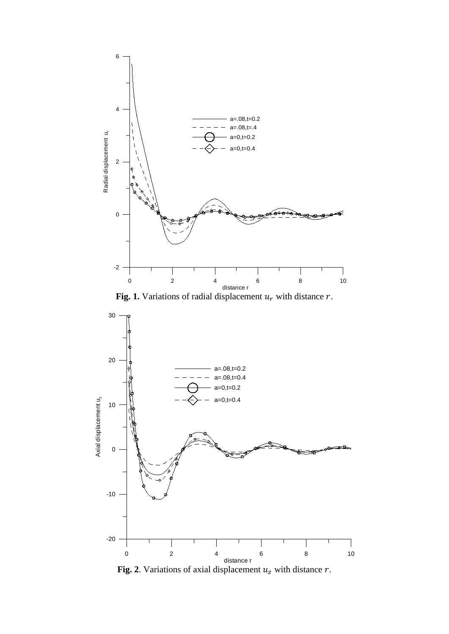



**Fig. 2**. Variations of axial displacement  $u_z$  with distance  $r$ .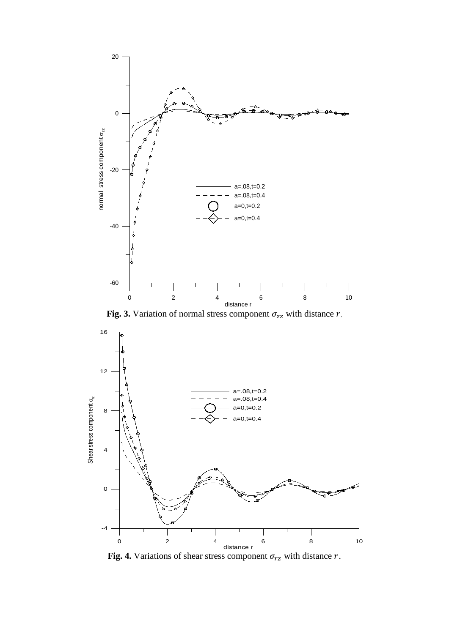

Fig. 3. Variation of normal stress component  $\sigma_{zz}$  with distance  $r$ .



Fig. 4. Variations of shear stress component  $\sigma_{rz}$  with distance  $r$ .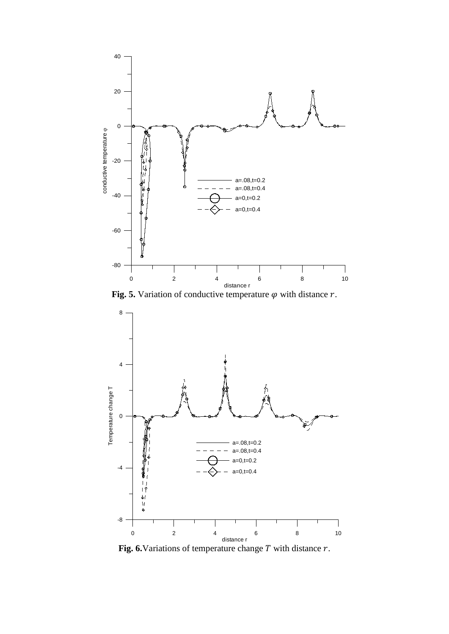





Fig. 6. Variations of temperature change  $T$  with distance  $r$ .